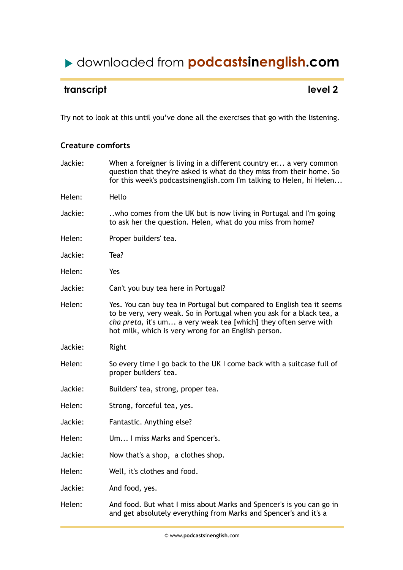# downloaded from **podcastsinenglish.com**

## **transcript** level 2

Try not to look at this until you've done all the exercises that go with the listening.

### **Creature comforts**

| Jackie: | When a foreigner is living in a different country er a very common<br>question that they're asked is what do they miss from their home. So<br>for this week's podcastsinenglish.com I'm talking to Helen, hi Helen                                                         |
|---------|----------------------------------------------------------------------------------------------------------------------------------------------------------------------------------------------------------------------------------------------------------------------------|
| Helen:  | Hello                                                                                                                                                                                                                                                                      |
| Jackie: | who comes from the UK but is now living in Portugal and I'm going<br>to ask her the question. Helen, what do you miss from home?                                                                                                                                           |
| Helen:  | Proper builders' tea.                                                                                                                                                                                                                                                      |
| Jackie: | Tea?                                                                                                                                                                                                                                                                       |
| Helen:  | Yes                                                                                                                                                                                                                                                                        |
| Jackie: | Can't you buy tea here in Portugal?                                                                                                                                                                                                                                        |
| Helen:  | Yes. You can buy tea in Portugal but compared to English tea it seems<br>to be very, very weak. So in Portugal when you ask for a black tea, a<br>cha preta, it's um a very weak tea [which] they often serve with<br>hot milk, which is very wrong for an English person. |
| Jackie: | Right                                                                                                                                                                                                                                                                      |
| Helen:  | So every time I go back to the UK I come back with a suitcase full of<br>proper builders' tea.                                                                                                                                                                             |
| Jackie: | Builders' tea, strong, proper tea.                                                                                                                                                                                                                                         |
| Helen:  | Strong, forceful tea, yes.                                                                                                                                                                                                                                                 |
| Jackie: | Fantastic. Anything else?                                                                                                                                                                                                                                                  |
| Helen:  | Um I miss Marks and Spencer's.                                                                                                                                                                                                                                             |
| Jackie: | Now that's a shop, a clothes shop.                                                                                                                                                                                                                                         |
| Helen:  | Well, it's clothes and food.                                                                                                                                                                                                                                               |
| Jackie: | And food, yes.                                                                                                                                                                                                                                                             |
| Helen:  | And food. But what I miss about Marks and Spencer's is you can go in<br>and get absolutely everything from Marks and Spencer's and it's a                                                                                                                                  |